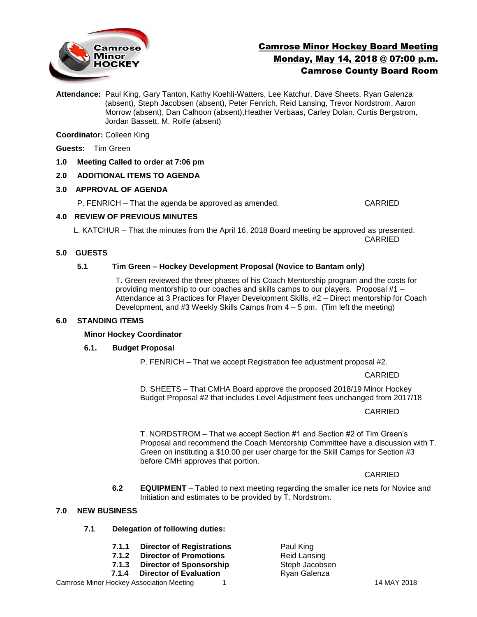

# Camrose Minor Hockey Board Meeting Monday, May 14, 2018 @ 07:00 p.m. Camrose County Board Room

**Attendance:** Paul King, Gary Tanton, Kathy Koehli-Watters, Lee Katchur, Dave Sheets, Ryan Galenza (absent), Steph Jacobsen (absent), Peter Fenrich, Reid Lansing, Trevor Nordstrom, Aaron Morrow (absent), Dan Calhoon (absent),Heather Verbaas, Carley Dolan, Curtis Bergstrom, Jordan Bassett, M. Rolfe (absent)

**Coordinator:** Colleen King

**Guests:** Tim Green

**1.0 Meeting Called to order at 7:06 pm**

# **2.0 ADDITIONAL ITEMS TO AGENDA**

#### **3.0 APPROVAL OF AGENDA**

P. FENRICH – That the agenda be approved as amended. CARRIED

#### **4.0 REVIEW OF PREVIOUS MINUTES**

L. KATCHUR – That the minutes from the April 16, 2018 Board meeting be approved as presented. CARRIED

# **5.0 GUESTS**

## **5.1 Tim Green – Hockey Development Proposal (Novice to Bantam only)**

T. Green reviewed the three phases of his Coach Mentorship program and the costs for providing mentorship to our coaches and skills camps to our players. Proposal #1 – Attendance at 3 Practices for Player Development Skills, #2 – Direct mentorship for Coach Development, and  $#3$  Weekly Skills Camps from  $4 - 5$  pm. (Tim left the meeting)

## **6.0 STANDING ITEMS**

#### **Minor Hockey Coordinator**

# **6.1. Budget Proposal**

P. FENRICH – That we accept Registration fee adjustment proposal #2.

CARRIED

D. SHEETS – That CMHA Board approve the proposed 2018/19 Minor Hockey Budget Proposal #2 that includes Level Adjustment fees unchanged from 2017/18

CARRIED

T. NORDSTROM – That we accept Section #1 and Section #2 of Tim Green's Proposal and recommend the Coach Mentorship Committee have a discussion with T. Green on instituting a \$10.00 per user charge for the Skill Camps for Section #3 before CMH approves that portion.

CARRIED

**6.2 EQUIPMENT** – Tabled to next meeting regarding the smaller ice nets for Novice and Initiation and estimates to be provided by T. Nordstrom.

## **7.0 NEW BUSINESS**

- **7.1 Delegation of following duties:**
	- **7.1.1 Director of Registrations** Paul King
	- **7.1.2 Director of Promotions** Reid Lansing
	- **7.1.3 Director of Sponsorship Steph Jacobsen**
	- **7.1.4 Director of Evaluation** Ryan Galenza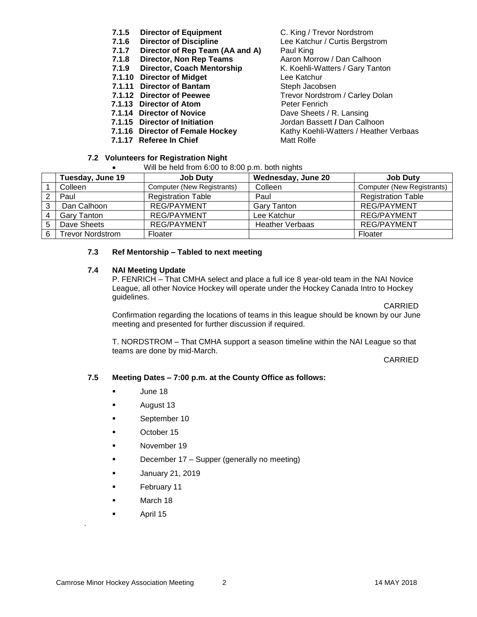- **7.1.5 Director of Equipment** C. King / Trevor Nordstrom
- 
- **7.1.7 Director of Rep Team (AA and A)** Paul King
- **7.1.8 Director, Non Rep Teams** Aaron Morrow / Dan Calhoon
- 
- **7.1.10 Director of Midget** Lee Katchur
- **7.1.11 Director of Bantam** Steph Jacobsen
- 
- **7.1.13 Director of Atom** Peter Fenrich
- **7.1.14 Director of Novice** Dave Sheets / R. Lansing
- 
- 
- **7.1.17 Referee In Chief** Matt Rolfe
- **7.2 Volunteers for Registration Night**
	- Will be held from 6:00 to 8:00 p.m. both nights

**7.1.6 Director of Discipline** Lee Katchur / Curtis Bergstrom **7.1.9 Director, Coach Mentorship K. Koehli-Watters / Gary Tanton 7.1.12 Director of Peewee** Trevor Nordstrom / Carley Dolan **7.1.15 Director of Initiation** Jordan Bassett **/** Dan Calhoon **7.1.16 Director of Female Hockey** Kathy Koehli-Watters / Heather Verbaas

| <b>THE BOTTOM TIGHT 0.00 to 0.00 p.m. both mgmo</b> |                         |                            |                        |                            |
|-----------------------------------------------------|-------------------------|----------------------------|------------------------|----------------------------|
|                                                     | Tuesday, June 19        | <b>Job Duty</b>            | Wednesday, June 20     | <b>Job Duty</b>            |
|                                                     | Colleen                 | Computer (New Registrants) | Colleen                | Computer (New Registrants) |
|                                                     | Paul                    | <b>Registration Table</b>  | Paul                   | <b>Registration Table</b>  |
| 3                                                   | Dan Calhoon             | <b>REG/PAYMENT</b>         | <b>Gary Tanton</b>     | <b>REG/PAYMENT</b>         |
|                                                     | <b>Gary Tanton</b>      | <b>REG/PAYMENT</b>         | Lee Katchur            | <b>REG/PAYMENT</b>         |
| 5                                                   | Dave Sheets             | <b>REG/PAYMENT</b>         | <b>Heather Verbaas</b> | <b>REG/PAYMENT</b>         |
| 6                                                   | <b>Trevor Nordstrom</b> | Floater                    |                        | Floater                    |

## **7.3 Ref Mentorship – Tabled to next meeting**

#### **7.4 NAI Meeting Update**

P. FENRICH – That CMHA select and place a full ice 8 year-old team in the NAI Novice League, all other Novice Hockey will operate under the Hockey Canada Intro to Hockey guidelines.

CARRIED

Confirmation regarding the locations of teams in this league should be known by our June meeting and presented for further discussion if required.

T. NORDSTROM – That CMHA support a season timeline within the NAI League so that teams are done by mid-March.

CARRIED

### **7.5 Meeting Dates – 7:00 p.m. at the County Office as follows:**

- June 18
- **August 13**
- **September 10**
- **C**Ctober 15
- **November 19**
- **December 17 Supper (generally no meeting)**
- **January 21, 2019**
- **February 11**
- **March 18**
- **April 15**

o .